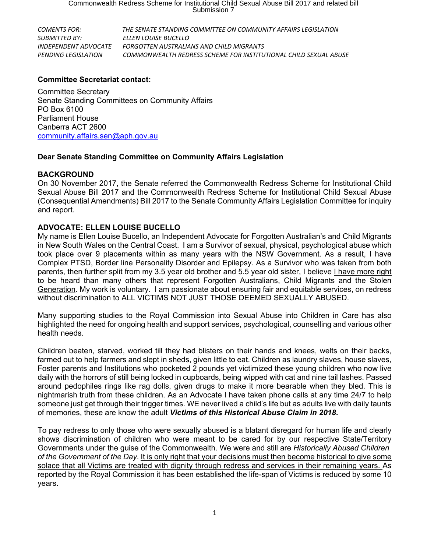*COMENTS FOR: THE SENATE STANDING COMMITTEE ON COMMUNITY AFFAIRS LEGISLATION SUBMITTED BY: ELLEN LOUISE BUCELLO INDEPENDENT ADVOCATE FORGOTTEN AUSTRALIANS AND CHILD MIGRANTS PENDING LEGISLATION COMMONWEALTH REDRESS SCHEME FOR INSTITUTIONAL CHILD SEXUAL ABUSE*

## **Committee Secretariat contact:**

Committee Secretary Senate Standing Committees on Community Affairs PO Box 6100 Parliament House Canberra ACT 2600 [community.affairs.sen@aph.gov.au](mailto:community.affairs.sen@aph.gov.au)

# **Dear Senate Standing Committee on Community Affairs Legislation**

#### **BACKGROUND**

On 30 November 2017, the Senate referred the Commonwealth Redress Scheme for Institutional Child Sexual Abuse Bill 2017 and the Commonwealth Redress Scheme for Institutional Child Sexual Abuse (Consequential Amendments) Bill 2017 to the Senate Community Affairs Legislation Committee for inquiry and report.

## **ADVOCATE: ELLEN LOUISE BUCELLO**

My name is Ellen Louise Bucello, an Independent Advocate for Forgotten Australian's and Child Migrants in New South Wales on the Central Coast. I am a Survivor of sexual, physical, psychological abuse which took place over 9 placements within as many years with the NSW Government. As a result, I have Complex PTSD, Border line Personality Disorder and Epilepsy. As a Survivor who was taken from both parents, then further split from my 3.5 year old brother and 5.5 year old sister, I believe I have more right to be heard than many others that represent Forgotten Australians, Child Migrants and the Stolen Generation. My work is voluntary. I am passionate about ensuring fair and equitable services, on redress without discrimination to ALL VICTIMS NOT JUST THOSE DEEMED SEXUALLY ABUSED.

Many supporting studies to the Royal Commission into Sexual Abuse into Children in Care has also highlighted the need for ongoing health and support services, psychological, counselling and various other health needs.

Children beaten, starved, worked till they had blisters on their hands and knees, welts on their backs, farmed out to help farmers and slept in sheds, given little to eat. Children as laundry slaves, house slaves, Foster parents and Institutions who pocketed 2 pounds yet victimized these young children who now live daily with the horrors of still being locked in cupboards, being wipped with cat and nine tail lashes. Passed around pedophiles rings like rag dolls, given drugs to make it more bearable when they bled. This is nightmarish truth from these children. As an Advocate I have taken phone calls at any time 24/7 to help someone just get through their trigger times. WE never lived a child's life but as adults live with daily taunts of memories, these are know the adult *Victims of this Historical Abuse Claim in 2018***.**

To pay redress to only those who were sexually abused is a blatant disregard for human life and clearly shows discrimination of children who were meant to be cared for by our respective State/Territory Governments under the guise of the Commonwealth. We were and still are *Historically Abused Children of the Government of the Day*. It is only right that your decisions must then become historical to give some solace that all Victims are treated with dignity through redress and services in their remaining years. As reported by the Royal Commission it has been established the life-span of Victims is reduced by some 10 years.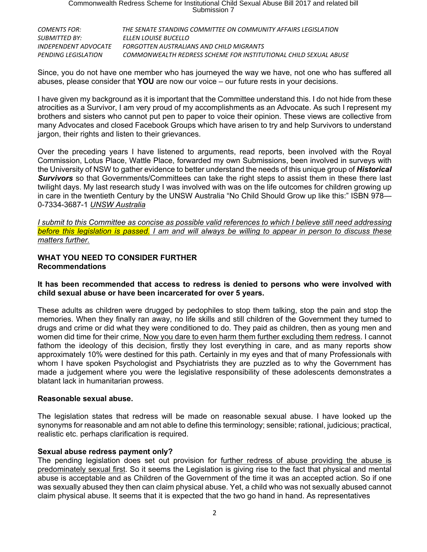| COMENTS FOR:         | THE SENATE STANDING COMMITTEE ON COMMUNITY AFFAIRS LEGISLATION   |
|----------------------|------------------------------------------------------------------|
| SUBMITTED BY:        | FLLEN LOUISE BUCELLO                                             |
| INDEPENDENT ADVOCATE | FORGOTTEN AUSTRALIANS AND CHILD MIGRANTS                         |
| PENDING LEGISLATION  | COMMONWEALTH REDRESS SCHEME FOR INSTITUTIONAL CHILD SEXUAL ABUSE |

Since, you do not have one member who has journeyed the way we have, not one who has suffered all abuses, please consider that **YOU** are now our voice – our future rests in your decisions.

I have given my background as it is important that the Committee understand this. I do not hide from these atrocities as a Survivor, I am very proud of my accomplishments as an Advocate. As such I represent my brothers and sisters who cannot put pen to paper to voice their opinion. These views are collective from many Advocates and closed Facebook Groups which have arisen to try and help Survivors to understand jargon, their rights and listen to their grievances.

Over the preceding years I have listened to arguments, read reports, been involved with the Royal Commission, Lotus Place, Wattle Place, forwarded my own Submissions, been involved in surveys with the University of NSW to gather evidence to better understand the needs of this unique group of *Historical Survivors* so that Governments/Committees can take the right steps to assist them in these there last twilight days. My last research study I was involved with was on the life outcomes for children growing up in care in the twentieth Century by the UNSW Australia "No Child Should Grow up like this:" ISBN 978— 0-7334-3687-1 *UNSW Australia*

I submit to this Committee as concise as possible valid references to which I believe still need addressing before this legislation is passed. I am and will always be willing to appear in person to discuss these *matters further.*

## **WHAT YOU NEED TO CONSIDER FURTHER Recommendations**

#### **It has been recommended that access to redress is denied to persons who were involved with child sexual abuse or have been incarcerated for over 5 years.**

These adults as children were drugged by pedophiles to stop them talking, stop the pain and stop the memories. When they finally ran away, no life skills and still children of the Government they turned to drugs and crime or did what they were conditioned to do. They paid as children, then as young men and women did time for their crime. Now you dare to even harm them further excluding them redress. I cannot fathom the ideology of this decision, firstly they lost everything in care, and as many reports show approximately 10% were destined for this path. Certainly in my eyes and that of many Professionals with whom I have spoken Psychologist and Psychiatrists they are puzzled as to why the Government has made a judgement where you were the legislative responsibility of these adolescents demonstrates a blatant lack in humanitarian prowess.

# **Reasonable sexual abuse.**

The legislation states that redress will be made on reasonable sexual abuse. I have looked up the synonyms for reasonable and am not able to define this terminology; sensible; rational, judicious; practical, realistic etc. perhaps clarification is required.

# **Sexual abuse redress payment only?**

The pending legislation does set out provision for further redress of abuse providing the abuse is predominately sexual first. So it seems the Legislation is giving rise to the fact that physical and mental abuse is acceptable and as Children of the Government of the time it was an accepted action. So if one was sexually abused they then can claim physical abuse. Yet, a child who was not sexually abused cannot claim physical abuse. It seems that it is expected that the two go hand in hand. As representatives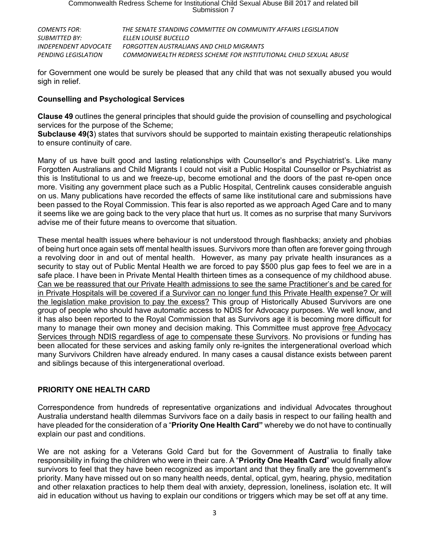| COMENTS FOR:                | THE SENATE STANDING COMMITTEE ON COMMUNITY AFFAIRS LEGISLATION   |
|-----------------------------|------------------------------------------------------------------|
| SUBMITTED BY:               | ELLEN LOUISE BUCELLO                                             |
| <i>INDEPENDENT ADVOCATE</i> | FORGOTTEN AUSTRALIANS AND CHILD MIGRANTS                         |
| PENDING LEGISLATION         | COMMONWEALTH REDRESS SCHEME FOR INSTITUTIONAL CHILD SEXUAL ABUSE |

for Government one would be surely be pleased that any child that was not sexually abused you would sigh in relief.

#### **Counselling and Psychological Services**

**Clause 49** outlines the general principles that should guide the provision of counselling and psychological services for the purpose of the Scheme;

**Subclause 49(3**) states that survivors should be supported to maintain existing therapeutic relationships to ensure continuity of care.

Many of us have built good and lasting relationships with Counsellor's and Psychiatrist's. Like many Forgotten Australians and Child Migrants I could not visit a Public Hospital Counsellor or Psychiatrist as this is Institutional to us and we freeze-up, become emotional and the doors of the past re-open once more. Visiting any government place such as a Public Hospital, Centrelink causes considerable anguish on us. Many publications have recorded the effects of same like institutional care and submissions have been passed to the Royal Commission. This fear is also reported as we approach Aged Care and to many it seems like we are going back to the very place that hurt us. It comes as no surprise that many Survivors advise me of their future means to overcome that situation.

These mental health issues where behaviour is not understood through flashbacks; anxiety and phobias of being hurt once again sets off mental health issues. Survivors more than often are forever going through a revolving door in and out of mental health. However, as many pay private health insurances as a security to stay out of Public Mental Health we are forced to pay \$500 plus gap fees to feel we are in a safe place. I have been in Private Mental Health thirteen times as a consequence of my childhood abuse. Can we be reassured that our Private Health admissions to see the same Practitioner's and be cared for in Private Hospitals will be covered if a Survivor can no longer fund this Private Health expense? Or will the legislation make provision to pay the excess? This group of Historically Abused Survivors are one group of people who should have automatic access to NDIS for Advocacy purposes. We well know, and it has also been reported to the Royal Commission that as Survivors age it is becoming more difficult for many to manage their own money and decision making. This Committee must approve free Advocacy Services through NDIS regardless of age to compensate these Survivors. No provisions or funding has been allocated for these services and asking family only re-ignites the intergenerational overload which many Survivors Children have already endured. In many cases a causal distance exists between parent and siblings because of this intergenerational overload.

# **PRIORITY ONE HEALTH CARD**

Correspondence from hundreds of representative organizations and individual Advocates throughout Australia understand health dilemmas Survivors face on a daily basis in respect to our failing health and have pleaded for the consideration of a "**Priority One Health Card"** whereby we do not have to continually explain our past and conditions.

We are not asking for a Veterans Gold Card but for the Government of Australia to finally take responsibility in fixing the children who were in their care. A "**Priority One Health Card**" would finally allow survivors to feel that they have been recognized as important and that they finally are the government's priority. Many have missed out on so many health needs, dental, optical, gym, hearing, physio, meditation and other relaxation practices to help them deal with anxiety, depression, loneliness, isolation etc. It will aid in education without us having to explain our conditions or triggers which may be set off at any time.